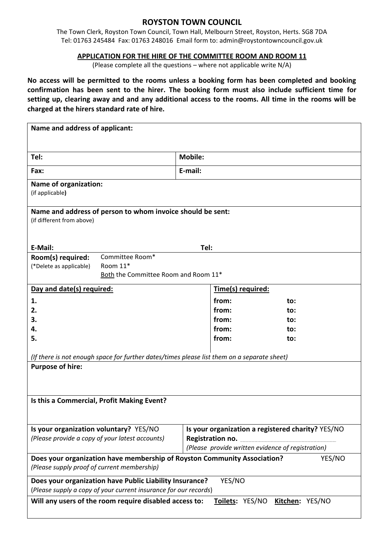# **ROYSTON TOWN COUNCIL**

The Town Clerk, Royston Town Council, Town Hall, Melbourn Street, Royston, Herts. SG8 7DA Tel: 01763 245484 Fax: 01763 248016 Email form to: admin@roystontowncouncil.gov.uk

### **APPLICATION FOR THE HIRE OF THE COMMITTEE ROOM AND ROOM 11**

(Please complete all the questions – where not applicable write N/A)

**No access will be permitted to the rooms unless a booking form has been completed and booking confirmation has been sent to the hirer. The booking form must also include sufficient time for setting up, clearing away and and any additional access to the rooms. All time in the rooms will be charged at the hirers standard rate of hire.**

| Name and address of applicant:                                                                                                    |                                                                                                        |     |  |  |  |
|-----------------------------------------------------------------------------------------------------------------------------------|--------------------------------------------------------------------------------------------------------|-----|--|--|--|
| Tel:                                                                                                                              | <b>Mobile:</b>                                                                                         |     |  |  |  |
|                                                                                                                                   |                                                                                                        |     |  |  |  |
| Fax:                                                                                                                              | E-mail:                                                                                                |     |  |  |  |
| <b>Name of organization:</b><br>(if applicable)                                                                                   |                                                                                                        |     |  |  |  |
| Name and address of person to whom invoice should be sent:<br>(if different from above)                                           |                                                                                                        |     |  |  |  |
| E-Mail:                                                                                                                           | Tel:                                                                                                   |     |  |  |  |
| Committee Room*<br>Room(s) required:<br>Room 11*<br>(*Delete as applicable)<br>Both the Committee Room and Room 11*               |                                                                                                        |     |  |  |  |
| Day and date(s) required:                                                                                                         | Time(s) required:                                                                                      |     |  |  |  |
| 1.                                                                                                                                | from:                                                                                                  | to: |  |  |  |
| 2.                                                                                                                                | from:                                                                                                  | to: |  |  |  |
| 3.                                                                                                                                | from:                                                                                                  | to: |  |  |  |
| 4.                                                                                                                                | from:                                                                                                  | to: |  |  |  |
| 5.                                                                                                                                | from:                                                                                                  | to: |  |  |  |
| (If there is not enough space for further dates/times please list them on a separate sheet)                                       |                                                                                                        |     |  |  |  |
| <b>Purpose of hire:</b>                                                                                                           |                                                                                                        |     |  |  |  |
| Is this a Commercial, Profit Making Event?                                                                                        |                                                                                                        |     |  |  |  |
| Is your organization voluntary? YES/NO<br>(Please provide a copy of your latest accounts)                                         | Is your organization a registered charity? YES/NO<br>(Please provide written evidence of registration) |     |  |  |  |
| Does your organization have membership of Royston Community Association?<br>YES/NO<br>(Please supply proof of current membership) |                                                                                                        |     |  |  |  |
| YES/NO<br>Does your organization have Public Liability Insurance?                                                                 |                                                                                                        |     |  |  |  |
| (Please supply a copy of your current insurance for our records)                                                                  |                                                                                                        |     |  |  |  |
| Will any users of the room require disabled access to:<br><b>Toilets: YES/NO</b><br>Kitchen: YES/NO                               |                                                                                                        |     |  |  |  |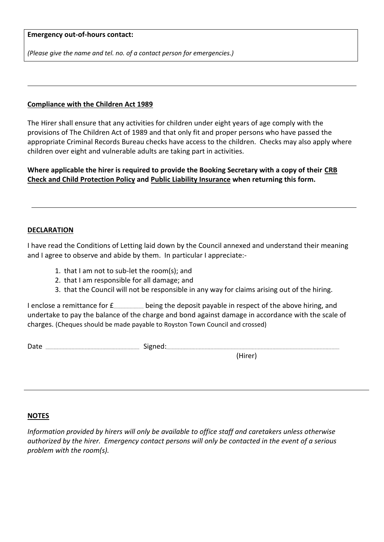#### **Emergency out-of-hours contact:**

*(Please give the name and tel. no. of a contact person for emergencies.)*

#### **Compliance with the Children Act 1989**

The Hirer shall ensure that any activities for children under eight years of age comply with the provisions of The Children Act of 1989 and that only fit and proper persons who have passed the appropriate Criminal Records Bureau checks have access to the children. Checks may also apply where children over eight and vulnerable adults are taking part in activities.

**Where applicable the hirer is required to provide the Booking Secretary with a copy of their CRB Check and Child Protection Policy and Public Liability Insurance when returning this form.**

### **DECLARATION**

I have read the Conditions of Letting laid down by the Council annexed and understand their meaning and I agree to observe and abide by them. In particular I appreciate:-

- 1. that I am not to sub-let the room(s); and
- 2. that I am responsible for all damage; and
- 3. that the Council will not be responsible in any way for claims arising out of the hiring.

I enclose a remittance for  $f$ <sub>--------------------</sub> being the deposit payable in respect of the above hiring, and undertake to pay the balance of the charge and bond against damage in accordance with the scale of charges. (Cheques should be made payable to Royston Town Council and crossed)

Date Signed:

#### (Hirer)

#### **NOTES**

*Information provided by hirers will only be available to office staff and caretakers unless otherwise authorized by the hirer. Emergency contact persons will only be contacted in the event of a serious problem with the room(s).*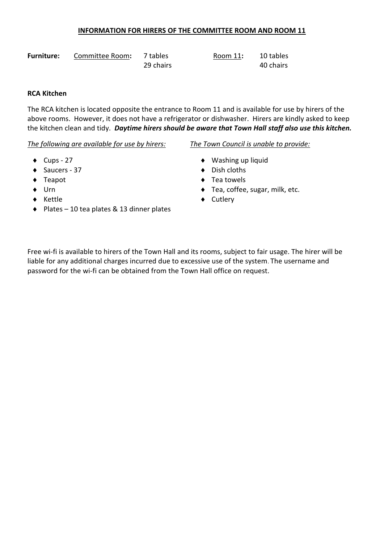# **INFORMATION FOR HIRERS OF THE COMMITTEE ROOM AND ROOM 11**

| <b>Furniture:</b> | Committee Room: | 7 tables  | Room 11: | 10 tables |
|-------------------|-----------------|-----------|----------|-----------|
|                   |                 | 29 chairs |          | 40 chairs |

# **RCA Kitchen**

The RCA kitchen is located opposite the entrance to Room 11 and is available for use by hirers of the above rooms. However, it does not have a refrigerator or dishwasher. Hirers are kindly asked to keep the kitchen clean and tidy. *Daytime hirers should be aware that Town Hall staff also use this kitchen.*

*The following are available for use by hirers: The Town Council is unable to provide:*

- 
- Saucers 37 Dish cloths
- 
- 
- 
- ◆ Plates 10 tea plates & 13 dinner plates

- ◆ Cups 27 → Washing up liquid
	-
- ◆ Teapot → Teatowels
- ◆ Urn → Urn → Tea, coffee, sugar, milk, etc.
- ◆ Kettle ◆ Cutlery

Free wi-fi is available to hirers of the Town Hall and its rooms, subject to fair usage. The hirer will be liable for any additional charges incurred due to excessive use of the system. The username and password for the wi-fi can be obtained from the Town Hall office on request.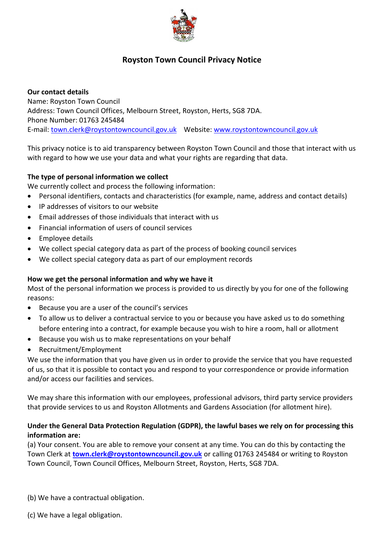

# **Royston Town Council Privacy Notice**

**Our contact details**  Name: Royston Town Council Address: Town Council Offices, Melbourn Street, Royston, Herts, SG8 7DA. Phone Number: 01763 245484 E-mail: [town.clerk@roystontowncouncil.gov.uk](mailto:town.clerk@roystontowncouncil.gov.uk) Website: [www.roystontowncouncil.gov.uk](http://www.roystontowncouncil.gov.uk/)

This privacy notice is to aid transparency between Royston Town Council and those that interact with us with regard to how we use your data and what your rights are regarding that data.

# **The type of personal information we collect**

We currently collect and process the following information:

- Personal identifiers, contacts and characteristics (for example, name, address and contact details)
- IP addresses of visitors to our website
- Email addresses of those individuals that interact with us
- Financial information of users of council services
- Employee details
- We collect special category data as part of the process of booking council services
- We collect special category data as part of our employment records

### **How we get the personal information and why we have it**

Most of the personal information we process is provided to us directly by you for one of the following reasons:

- Because you are a user of the council's services
- To allow us to deliver a contractual service to you or because you have asked us to do something before entering into a contract, for example because you wish to hire a room, hall or allotment
- Because you wish us to make representations on your behalf
- Recruitment/Employment

We use the information that you have given us in order to provide the service that you have requested of us, so that it is possible to contact you and respond to your correspondence or provide information and/or access our facilities and services.

We may share this information with our employees, professional advisors, third party service providers that provide services to us and Royston Allotments and Gardens Association (for allotment hire).

# **Under the General Data Protection Regulation (GDPR), the lawful bases we rely on for processing this information are:**

(a) Your consent. You are able to remove your consent at any time. You can do this by contacting the Town Clerk at **[town.clerk@roystontowncouncil.gov.uk](mailto:town.clerk@roystontowncouncil.gov.uk)** or calling 01763 245484 or writing to Royston Town Council, Town Council Offices, Melbourn Street, Royston, Herts, SG8 7DA.

(b) We have a contractual obligation.

(c) We have a legal obligation.